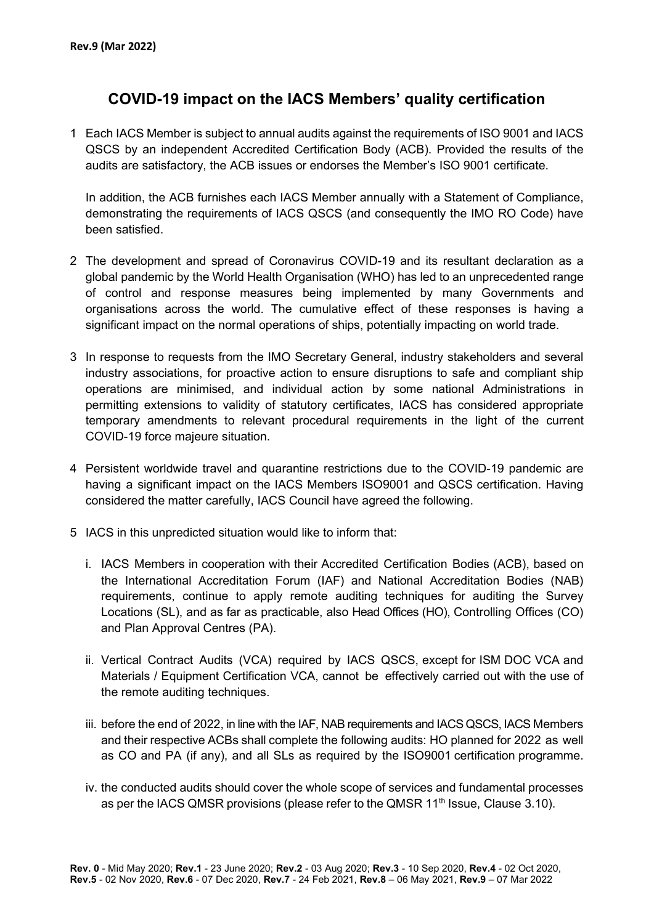## **COVID-19 impact on the IACS Members' quality certification**

1 Each IACS Member is subject to annual audits against the requirements of ISO 9001 and IACS QSCS by an independent Accredited Certification Body (ACB). Provided the results of the audits are satisfactory, the ACB issues or endorses the Member's ISO 9001 certificate.

In addition, the ACB furnishes each IACS Member annually with a Statement of Compliance, demonstrating the requirements of IACS QSCS (and consequently the IMO RO Code) have been satisfied.

- 2 The development and spread of Coronavirus COVID-19 and its resultant declaration as a global pandemic by the World Health Organisation (WHO) has led to an unprecedented range of control and response measures being implemented by many Governments and organisations across the world. The cumulative effect of these responses is having a significant impact on the normal operations of ships, potentially impacting on world trade.
- 3 In response to requests from the IMO Secretary General, industry stakeholders and several industry associations, for proactive action to ensure disruptions to safe and compliant ship operations are minimised, and individual action by some national Administrations in permitting extensions to validity of statutory certificates, IACS has considered appropriate temporary amendments to relevant procedural requirements in the light of the current COVID-19 force majeure situation.
- 4 Persistent worldwide travel and quarantine restrictions due to the COVID-19 pandemic are having a significant impact on the IACS Members ISO9001 and QSCS certification. Having considered the matter carefully, IACS Council have agreed the following.
- 5 IACS in this unpredicted situation would like to inform that:
	- i. IACS Members in cooperation with their Accredited Certification Bodies (ACB), based on the International Accreditation Forum (IAF) and National Accreditation Bodies (NAB) requirements, continue to apply remote auditing techniques for auditing the Survey Locations (SL), and as far as practicable, also Head Offices (HO), Controlling Offices (CO) and Plan Approval Centres (PA).
	- ii. Vertical Contract Audits (VCA) required by IACS QSCS, except for ISM DOC VCA and Materials / Equipment Certification VCA, cannot be effectively carried out with the use of the remote auditing techniques.
	- iii. before the end of 2022, in line with the IAF, NAB requirements and IACS QSCS, IACS Members and their respective ACBs shall complete the following audits: HO planned for 2022 as well as CO and PA (if any), and all SLs as required by the ISO9001 certification programme.
	- iv. the conducted audits should cover the whole scope of services and fundamental processes as per the IACS QMSR provisions (please refer to the QMSR  $11<sup>th</sup>$  Issue, Clause 3.10).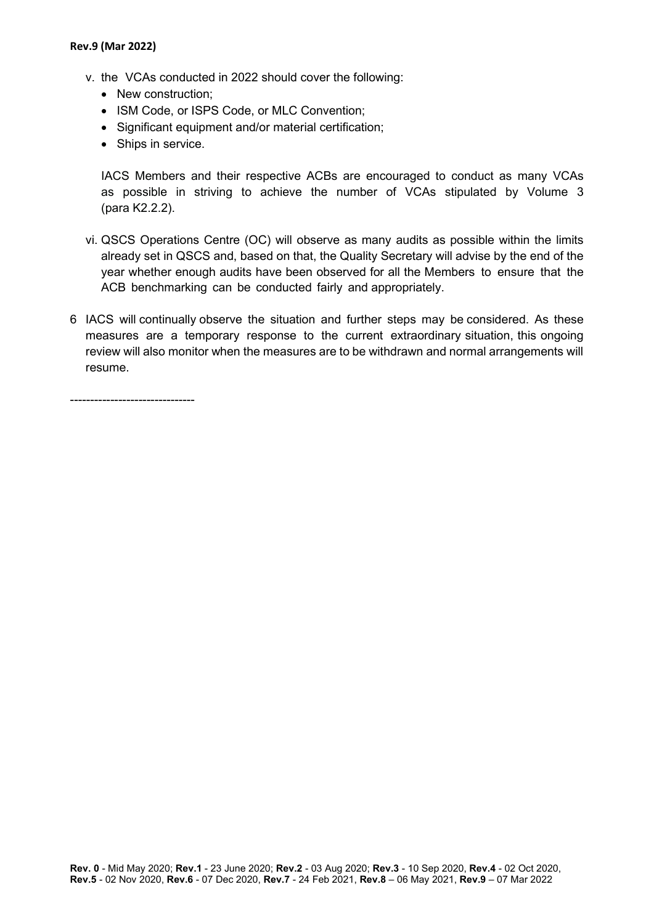- v. the VCAs conducted in 2022 should cover the following:
	- New construction:
	- ISM Code, or ISPS Code, or MLC Convention;
	- Significant equipment and/or material certification;
	- Ships in service.

IACS Members and their respective ACBs are encouraged to conduct as many VCAs as possible in striving to achieve the number of VCAs stipulated by Volume 3 (para K2.2.2).

- vi. QSCS Operations Centre (OC) will observe as many audits as possible within the limits already set in QSCS and, based on that, the Quality Secretary will advise by the end of the year whether enough audits have been observed for all the Members to ensure that the ACB benchmarking can be conducted fairly and appropriately.
- 6 IACS will continually observe the situation and further steps may be considered. As these measures are a temporary response to the current extraordinary situation, this ongoing review will also monitor when the measures are to be withdrawn and normal arrangements will resume.

-------------------------------